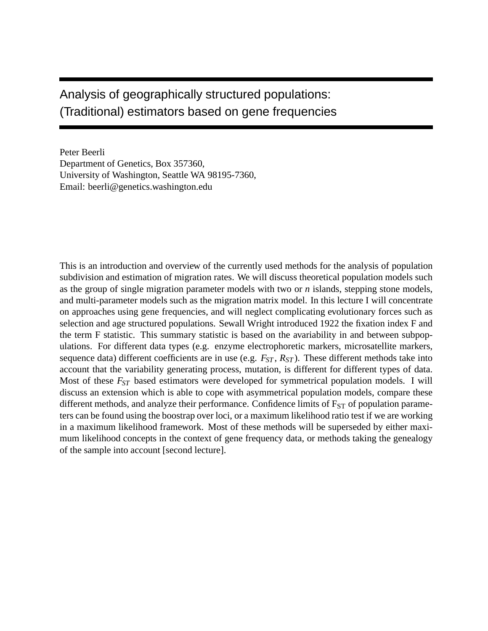# Analysis of geographically structured populations: (Traditional) estimators based on gene frequencies

Peter Beerli Department of Genetics, Box 357360, University of Washington, Seattle WA 98195-7360, Email: beerli@genetics.washington.edu

This is an introduction and overview of the currently used methods for the analysis of population subdivision and estimation of migration rates. We will discuss theoretical population models such as the group of single migration parameter models with two or *n* islands, stepping stone models, and multi-parameter models such as the migration matrix model. In this lecture I will concentrate on approaches using gene frequencies, and will neglect complicating evolutionary forces such as selection and age structured populations. Sewall Wright introduced 1922 the fixation index F and the term F statistic. This summary statistic is based on the avariability in and between subpopulations. For different data types (e.g. enzyme electrophoretic markers, microsatellite markers, sequence data) different coefficients are in use (e.g. *FST* , *RST* ). These different methods take into account that the variability generating process, mutation, is different for different types of data. Most of these *FST* based estimators were developed for symmetrical population models. I will discuss an extension which is able to cope with asymmetrical population models, compare these different methods, and analyze their performance. Confidence limits of  $F<sub>ST</sub>$  of population parameters can be found using the boostrap over loci, or a maximum likelihood ratio test if we are working in a maximum likelihood framework. Most of these methods will be superseded by either maximum likelihood concepts in the context of gene frequency data, or methods taking the genealogy of the sample into account [second lecture].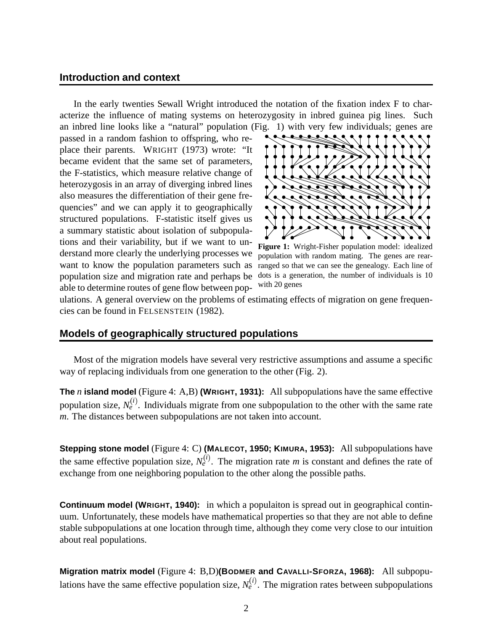#### **Introduction and context**

In the early twenties Sewall Wright introduced the notation of the fixation index F to characterize the influence of mating systems on heterozygosity in inbred guinea pig lines. Such an inbred line looks like a "natural" population (Fig. 1) with very few individuals; genes are

passed in a random fashion to offspring, who replace their parents. WRIGHT (1973) wrote: "It became evident that the same set of parameters, the F-statistics, which measure relative change of heterozygosis in an array of diverging inbred lines also measures the differentiation of their gene frequencies" and we can apply it to geographically structured populations. F-statistic itself gives us a summary statistic about isolation of subpopulations and their variability, but if we want to understand more clearly the underlying processes we want to know the population parameters such as population size and migration rate and perhaps be dots is a generation, the number of individuals is 10 able to determine routes of gene flow between pop-



**Figure 1:** Wright-Fisher population model: idealized population with random mating. The genes are rearranged so that we can see the genealogy. Each line of with 20 genes

ulations. A general overview on the problems of estimating effects of migration on gene frequencies can be found in FELSENSTEIN (1982).

### **Models of geographically structured populations**

Most of the migration models have several very restrictive assumptions and assume a specific way of replacing individuals from one generation to the other (Fig. 2).

**The** *n* **island model** (Figure 4: A,B) **(WRIGHT, 1931):** All subpopulations have the same effective population size,  $N_e^{(i)}$ . Individuals migrate from one subpopulation to the other with the same rate *m*. The distances between subpopulations are not taken into account.

**Stepping stone model** (Figure 4: C) **(MALECOT, 1950; KIMURA, 1953):** All subpopulations have the same effective population size,  $N_e^{(i)}$ . The migration rate *m* is constant and defines the rate of exchange from one neighboring population to the other along the possible paths.

**Continuum model (WRIGHT, 1940):** in which a populaiton is spread out in geographical continuum. Unfortunately, these models have mathematical properties so that they are not able to define stable subpopulations at one location through time, although they come very close to our intuition about real populations.

**Migration matrix model** (Figure 4: B,D)**(BODMER and CAVALLI-SFORZA, 1968):** All subpopulations have the same effective population size,  $N_e^{(i)}$ . The migration rates between subpopulations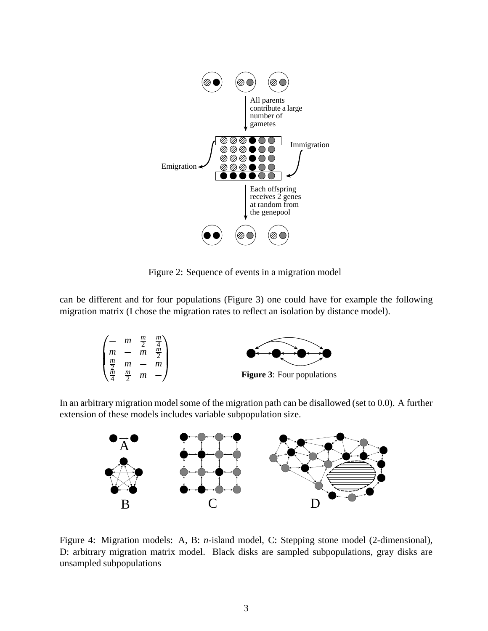

Figure 2: Sequence of events in a migration model

can be different and for four populations (Figure 3) one could have for example the following migration matrix (I chose the migration rates to reflect an isolation by distance model).

|               | $m \frac{m}{2}$ |                | $\boldsymbol{m}$ |                                   |
|---------------|-----------------|----------------|------------------|-----------------------------------|
|               |                 | $\mathfrak{m}$ | $\underline{m}$  |                                   |
| $\frac{m}{2}$ |                 |                |                  |                                   |
| $\frac{m}{2}$ | $\frac{m}{2}$   | m              |                  | <b>Figure 3:</b> Four populations |

In an arbitrary migration model some of the migration path can be disallowed (set to 0.0). A further extension of these models includes variable subpopulation size.



Figure 4: Migration models: A, B: *n*-island model, C: Stepping stone model (2-dimensional), D: arbitrary migration matrix model. Black disks are sampled subpopulations, gray disks are unsampled subpopulations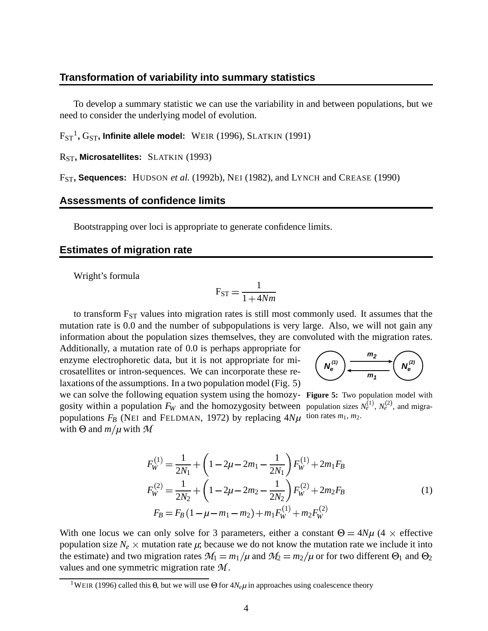#### **Transformation of variability into summary statistics**

To develop a summary statistic we can use the variability in and between populations, but we need to consider the underlying model of evolution.

FST 1 **,** GST**, Infinite allele model:** WEIR (1996), SLATKIN (1991)

RST**, Microsatellites:** SLATKIN (1993)

FST**, Sequences:** HUDSON *et al.* (1992b), NEI (1982), and LYNCH and CREASE (1990)

## **Assessments of confidence limits**

Bootstrapping over loci is appropriate to generate confidence limits.

#### **Estimates of migration rate**

Wright's formula

with  $\Theta$  and  $m/\mu$  with  $\mathcal M$ 

$$
F_{ST} = \frac{1}{1 + 4Nm}
$$

to transform  $F_{ST}$  values into migration rates is still most commonly used. It assumes that the mutation rate is 0.0 and the number of subpopulations is very large. Also, we will not gain any information about the population sizes themselves, they are convoluted with the migration rates.

Additionally, a mutation rate of 0.0 is perhaps appropriate for enzyme electrophoretic data, but it is not appropriate for microsatellites or intron-sequences. We can incorporate these relaxations of the assumptions. In a two population model (Fig. 5)



we can solve the following equation system using the homozy-**Figure 5:** Two population model with gosity within a population  $F_W$  and the homozygosity between population sizes  $N_e^{(1)}$ ,  $N_e^{(2)}$ , and migrapopulations  $F_B$  (NEI and FELDMAN, 1972) by replacing  $4N\mu$  tion rates  $m_1, m_2$ .

$$
F_W^{(1)} = \frac{1}{2N_1} + \left(1 - 2\mu - 2m_1 - \frac{1}{2N_1}\right) F_W^{(1)} + 2m_1 F_B
$$
  
\n
$$
F_W^{(2)} = \frac{1}{2N_2} + \left(1 - 2\mu - 2m_2 - \frac{1}{2N_2}\right) F_W^{(2)} + 2m_2 F_B
$$
  
\n
$$
F_B = F_B \left(1 - \mu - m_1 - m_2\right) + m_1 F_W^{(1)} + m_2 F_W^{(2)}
$$
\n(1)

With one locus we can only solve for 3 parameters, either a constant  $\Theta = 4N\mu$  (4  $\times$  effective population size  $N_e \times$  mutation rate  $\mu$ ; because we do not know the mutation rate we include it into the estimate) and two migration rates  $\mathcal{M}_1 = m_1/\mu$  and  $\mathcal{M}_2 = m_2/\mu$  or for two different  $\Theta_1$  and  $\Theta_2$ values and one symmetric migration rate  $M$ .

<sup>&</sup>lt;sup>1</sup>WEIR (1996) called this  $\theta$ , but we will use  $\Theta$  for  $4N_e\mu$  in approaches using coalescence theory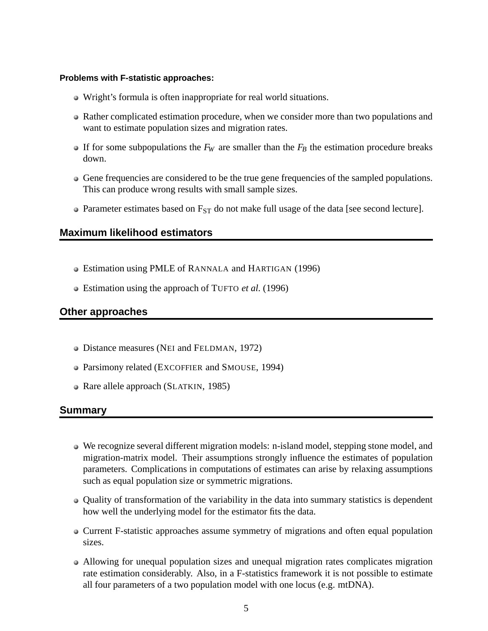#### **Problems with F-statistic approaches:**

- Wright's formula is often inappropriate for real world situations.
- Rather complicated estimation procedure, when we consider more than two populations and want to estimate population sizes and migration rates.
- If for some subpopulations the  $F_W$  are smaller than the  $F_B$  the estimation procedure breaks down.
- Gene frequencies are considered to be the true gene frequencies of the sampled populations. This can produce wrong results with small sample sizes.
- Parameter estimates based on  $F_{ST}$  do not make full usage of the data [see second lecture].

# **Maximum likelihood estimators**

- Estimation using PMLE of RANNALA and HARTIGAN (1996)
- Estimation using the approach of TUFTO *et al.* (1996)

# **Other approaches**

- Distance measures (NEI and FELDMAN, 1972)
- Parsimony related (EXCOFFIER and SMOUSE, 1994)
- Rare allele approach (SLATKIN, 1985)

# **Summary**

- We recognize several different migration models: n-island model, stepping stone model, and migration-matrix model. Their assumptions strongly influence the estimates of population parameters. Complications in computations of estimates can arise by relaxing assumptions such as equal population size or symmetric migrations.
- Quality of transformation of the variability in the data into summary statistics is dependent how well the underlying model for the estimator fits the data.
- Current F-statistic approaches assume symmetry of migrations and often equal population sizes.
- Allowing for unequal population sizes and unequal migration rates complicates migration rate estimation considerably. Also, in a F-statistics framework it is not possible to estimate all four parameters of a two population model with one locus (e.g. mtDNA).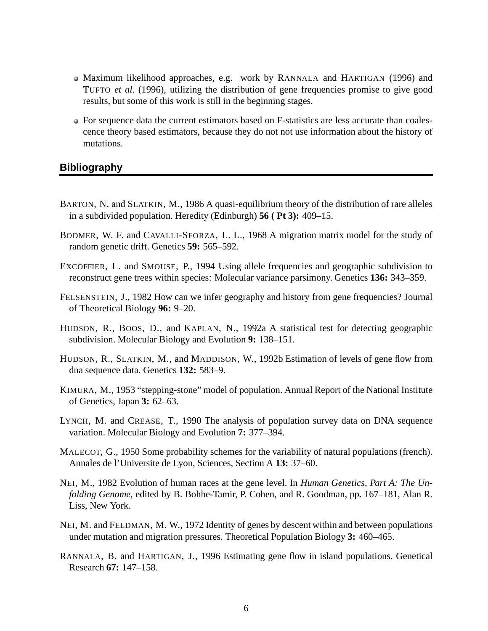- Maximum likelihood approaches, e.g. work by RANNALA and HARTIGAN (1996) and TUFTO *et al.* (1996), utilizing the distribution of gene frequencies promise to give good results, but some of this work is still in the beginning stages.
- For sequence data the current estimators based on F-statistics are less accurate than coalescence theory based estimators, because they do not not use information about the history of mutations.

# **Bibliography**

- BARTON, N. and SLATKIN, M., 1986 A quasi-equilibrium theory of the distribution of rare alleles in a subdivided population. Heredity (Edinburgh) **56 ( Pt 3):** 409–15.
- BODMER, W. F. and CAVALLI-SFORZA, L. L., 1968 A migration matrix model for the study of random genetic drift. Genetics **59:** 565–592.
- EXCOFFIER, L. and SMOUSE, P., 1994 Using allele frequencies and geographic subdivision to reconstruct gene trees within species: Molecular variance parsimony. Genetics **136:** 343–359.
- FELSENSTEIN, J., 1982 How can we infer geography and history from gene frequencies? Journal of Theoretical Biology **96:** 9–20.
- HUDSON, R., BOOS, D., and KAPLAN, N., 1992a A statistical test for detecting geographic subdivision. Molecular Biology and Evolution **9:** 138–151.
- HUDSON, R., SLATKIN, M., and MADDISON, W., 1992b Estimation of levels of gene flow from dna sequence data. Genetics **132:** 583–9.
- KIMURA, M., 1953 "stepping-stone" model of population. Annual Report of the National Institute of Genetics, Japan **3:** 62–63.
- LYNCH, M. and CREASE, T., 1990 The analysis of population survey data on DNA sequence variation. Molecular Biology and Evolution **7:** 377–394.
- MALECOT, G., 1950 Some probability schemes for the variability of natural populations (french). Annales de l'Universite de Lyon, Sciences, Section A **13:** 37–60.
- NEI, M., 1982 Evolution of human races at the gene level. In *Human Genetics, Part A: The Unfolding Genome*, edited by B. Bohhe-Tamir, P. Cohen, and R. Goodman, pp. 167–181, Alan R. Liss, New York.
- NEI, M. and FELDMAN, M. W., 1972 Identity of genes by descent within and between populations under mutation and migration pressures. Theoretical Population Biology **3:** 460–465.
- RANNALA, B. and HARTIGAN, J., 1996 Estimating gene flow in island populations. Genetical Research **67:** 147–158.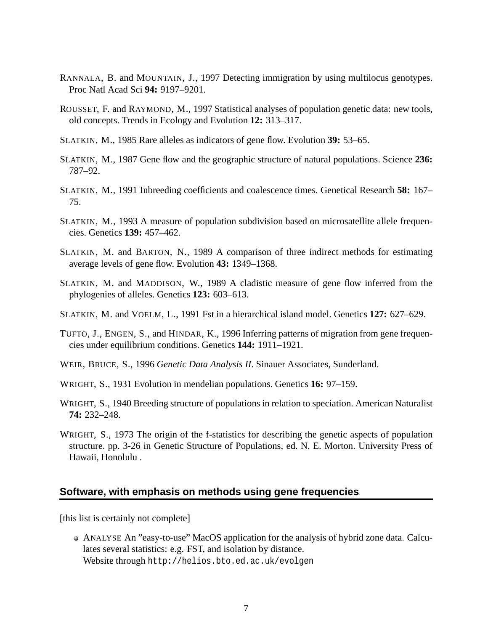- RANNALA, B. and MOUNTAIN, J., 1997 Detecting immigration by using multilocus genotypes. Proc Natl Acad Sci **94:** 9197–9201.
- ROUSSET, F. and RAYMOND, M., 1997 Statistical analyses of population genetic data: new tools, old concepts. Trends in Ecology and Evolution **12:** 313–317.
- SLATKIN, M., 1985 Rare alleles as indicators of gene flow. Evolution **39:** 53–65.
- SLATKIN, M., 1987 Gene flow and the geographic structure of natural populations. Science **236:** 787–92.
- SLATKIN, M., 1991 Inbreeding coefficients and coalescence times. Genetical Research **58:** 167– 75.
- SLATKIN, M., 1993 A measure of population subdivision based on microsatellite allele frequencies. Genetics **139:** 457–462.
- SLATKIN, M. and BARTON, N., 1989 A comparison of three indirect methods for estimating average levels of gene flow. Evolution **43:** 1349–1368.
- SLATKIN, M. and MADDISON, W., 1989 A cladistic measure of gene flow inferred from the phylogenies of alleles. Genetics **123:** 603–613.
- SLATKIN, M. and VOELM, L., 1991 Fst in a hierarchical island model. Genetics **127:** 627–629.
- TUFTO, J., ENGEN, S., and HINDAR, K., 1996 Inferring patterns of migration from gene frequencies under equilibrium conditions. Genetics **144:** 1911–1921.
- WEIR, BRUCE, S., 1996 *Genetic Data Analysis II*. Sinauer Associates, Sunderland.
- WRIGHT, S., 1931 Evolution in mendelian populations. Genetics **16:** 97–159.
- WRIGHT, S., 1940 Breeding structure of populations in relation to speciation. American Naturalist **74:** 232–248.
- WRIGHT, S., 1973 The origin of the f-statistics for describing the genetic aspects of population structure. pp. 3-26 in Genetic Structure of Populations, ed. N. E. Morton. University Press of Hawaii, Honolulu .

## **Software, with emphasis on methods using gene frequencies**

[this list is certainly not complete]

ANALYSE An "easy-to-use" MacOS application for the analysis of hybrid zone data. Calculates several statistics: e.g. FST, and isolation by distance. Website through http://helios.bto.ed.ac.uk/evolgen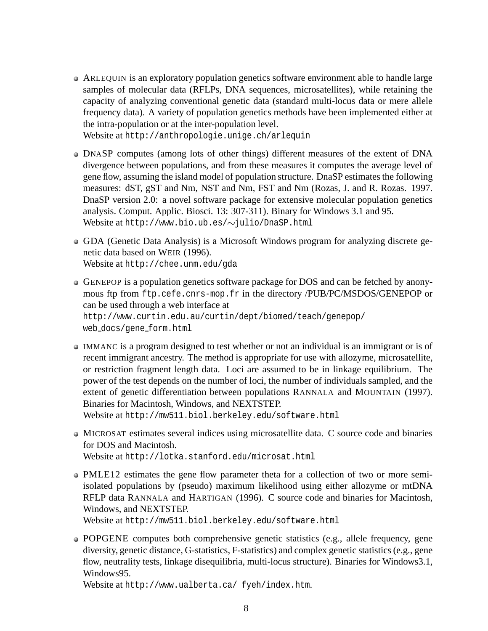- ARLEQUIN is an exploratory population genetics software environment able to handle large samples of molecular data (RFLPs, DNA sequences, microsatellites), while retaining the capacity of analyzing conventional genetic data (standard multi-locus data or mere allele frequency data). A variety of population genetics methods have been implemented either at the intra-population or at the inter-population level. Website at http://anthropologie.unige.ch/arlequin
- DNASP computes (among lots of other things) different measures of the extent of DNA divergence between populations, and from these measures it computes the average level of gene flow, assuming the island model of population structure. DnaSP estimates the following measures: dST, gST and Nm, NST and Nm, FST and Nm (Rozas, J. and R. Rozas. 1997. DnaSP version 2.0: a novel software package for extensive molecular population genetics analysis. Comput. Applic. Biosci. 13: 307-311). Binary for Windows 3.1 and 95.
	- Website at  $http://www.bio.ub.es/~julio/OnaSP.html$
- GDA (Genetic Data Analysis) is a Microsoft Windows program for analyzing discrete genetic data based on WEIR (1996). Website at http://chee.unm.edu/gda
- GENEPOP is a population genetics software package for DOS and can be fetched by anonymous ftp from ftp.cefe.cnrs-mop.fr in the directory /PUB/PC/MSDOS/GENEPOP or can be used through a web interface at http://www.curtin.edu.au/curtin/dept/biomed/teach/genepop/ web docs/gene form.html
- IMMANC is a program designed to test whether or not an individual is an immigrant or is of recent immigrant ancestry. The method is appropriate for use with allozyme, microsatellite, or restriction fragment length data. Loci are assumed to be in linkage equilibrium. The power of the test depends on the number of loci, the number of individuals sampled, and the extent of genetic differentiation between populations RANNALA and MOUNTAIN (1997). Binaries for Macintosh, Windows, and NEXTSTEP.

Website at http://mw511.biol.berkeley.edu/software.html

MICROSAT estimates several indices using microsatellite data. C source code and binaries for DOS and Macintosh.

Website at http://lotka.stanford.edu/microsat.html

PMLE12 estimates the gene flow parameter theta for a collection of two or more semiisolated populations by (pseudo) maximum likelihood using either allozyme or mtDNA RFLP data RANNALA and HARTIGAN (1996). C source code and binaries for Macintosh, Windows, and NEXTSTEP.

Website at http://mw511.biol.berkeley.edu/software.html

POPGENE computes both comprehensive genetic statistics (e.g., allele frequency, gene diversity, genetic distance, G-statistics, F-statistics) and complex genetic statistics(e.g., gene flow, neutrality tests, linkage disequilibria, multi-locus structure). Binaries for Windows3.1, Windows95.

Website at http://www.ualberta.ca/ fyeh/index.htm.